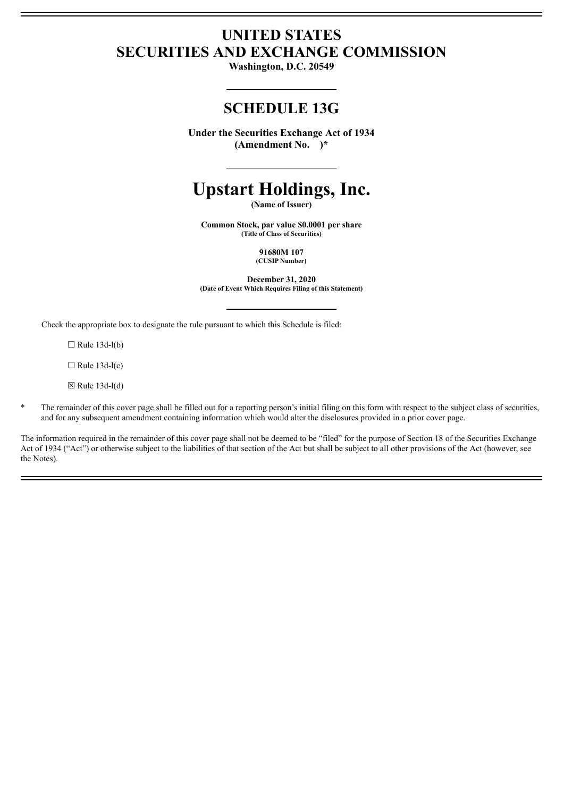# **UNITED STATES SECURITIES AND EXCHANGE COMMISSION**

**Washington, D.C. 20549**

# **SCHEDULE 13G**

**Under the Securities Exchange Act of 1934 (Amendment No. )\***

# **Upstart Holdings, Inc.**

**(Name of Issuer)**

**Common Stock, par value \$0.0001 per share (Title of Class of Securities)**

> **91680M 107 (CUSIP Number)**

**December 31, 2020 (Date of Event Which Requires Filing of this Statement)**

Check the appropriate box to designate the rule pursuant to which this Schedule is filed:

 $\Box$  Rule 13d-l(b)

 $\Box$  Rule 13d-l(c)

 $\boxtimes$  Rule 13d-l(d)

The remainder of this cover page shall be filled out for a reporting person's initial filing on this form with respect to the subject class of securities, and for any subsequent amendment containing information which would alter the disclosures provided in a prior cover page.

The information required in the remainder of this cover page shall not be deemed to be "filed" for the purpose of Section 18 of the Securities Exchange Act of 1934 ("Act") or otherwise subject to the liabilities of that section of the Act but shall be subject to all other provisions of the Act (however, see the Notes).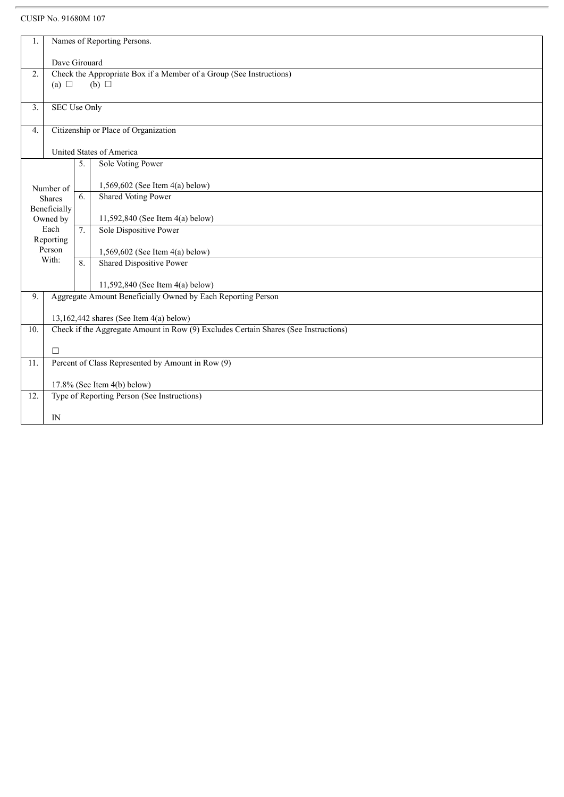## CUSIP No. 91680M 107

| 1.       |                                                              | Names of Reporting Persons.                                                                                                      |                                   |  |  |  |
|----------|--------------------------------------------------------------|----------------------------------------------------------------------------------------------------------------------------------|-----------------------------------|--|--|--|
|          |                                                              |                                                                                                                                  |                                   |  |  |  |
|          | Dave Girouard                                                |                                                                                                                                  |                                   |  |  |  |
| 2.       |                                                              | Check the Appropriate Box if a Member of a Group (See Instructions)                                                              |                                   |  |  |  |
|          | (a) $\Box$                                                   |                                                                                                                                  | $(b)$ $\square$                   |  |  |  |
|          |                                                              |                                                                                                                                  |                                   |  |  |  |
| 3.       |                                                              | <b>SEC Use Only</b>                                                                                                              |                                   |  |  |  |
|          |                                                              |                                                                                                                                  |                                   |  |  |  |
| 4.       |                                                              | Citizenship or Place of Organization                                                                                             |                                   |  |  |  |
|          |                                                              |                                                                                                                                  |                                   |  |  |  |
|          |                                                              | United States of America<br>5.                                                                                                   |                                   |  |  |  |
|          |                                                              |                                                                                                                                  | Sole Voting Power                 |  |  |  |
|          |                                                              |                                                                                                                                  | 1,569,602 (See Item 4(a) below)   |  |  |  |
|          | Number of                                                    |                                                                                                                                  | <b>Shared Voting Power</b>        |  |  |  |
|          | <b>Shares</b><br>Beneficially                                |                                                                                                                                  |                                   |  |  |  |
| Owned by |                                                              |                                                                                                                                  | 11,592,840 (See Item 4(a) below)  |  |  |  |
| Each     |                                                              | 7.                                                                                                                               | Sole Dispositive Power            |  |  |  |
|          | Reporting                                                    |                                                                                                                                  |                                   |  |  |  |
|          | Person                                                       |                                                                                                                                  | 1,569,602 (See Item $4(a)$ below) |  |  |  |
| With:    |                                                              | 8                                                                                                                                | <b>Shared Dispositive Power</b>   |  |  |  |
|          |                                                              |                                                                                                                                  |                                   |  |  |  |
|          |                                                              |                                                                                                                                  | 11,592,840 (See Item 4(a) below)  |  |  |  |
| 9.       | Aggregate Amount Beneficially Owned by Each Reporting Person |                                                                                                                                  |                                   |  |  |  |
|          |                                                              |                                                                                                                                  |                                   |  |  |  |
|          |                                                              | 13,162,442 shares (See Item $4(a)$ below)<br>Check if the Aggregate Amount in Row (9) Excludes Certain Shares (See Instructions) |                                   |  |  |  |
| 10.      |                                                              |                                                                                                                                  |                                   |  |  |  |
|          | $\Box$                                                       |                                                                                                                                  |                                   |  |  |  |
| 11.      | Percent of Class Represented by Amount in Row (9)            |                                                                                                                                  |                                   |  |  |  |
|          |                                                              |                                                                                                                                  |                                   |  |  |  |
|          | 17.8% (See Item 4(b) below)                                  |                                                                                                                                  |                                   |  |  |  |
| 12.      | Type of Reporting Person (See Instructions)                  |                                                                                                                                  |                                   |  |  |  |
|          |                                                              |                                                                                                                                  |                                   |  |  |  |
|          | IN                                                           |                                                                                                                                  |                                   |  |  |  |
|          |                                                              |                                                                                                                                  |                                   |  |  |  |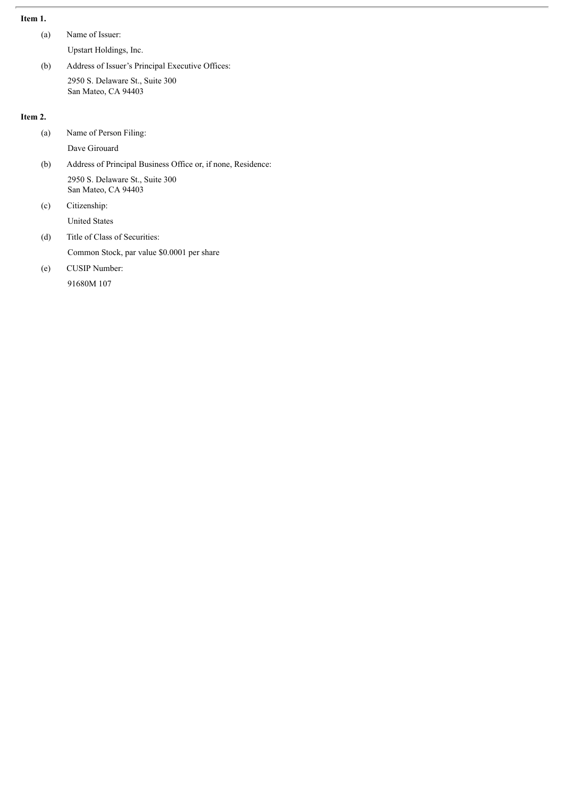## **Item 1.**

- (a) Name of Issuer:
	- Upstart Holdings, Inc.
- (b) Address of Issuer's Principal Executive Offices: 2950 S. Delaware St., Suite 300 San Mateo, CA 94403

#### **Item 2.**

- (a) Name of Person Filing:
	- Dave Girouard
- (b) Address of Principal Business Office or, if none, Residence: 2950 S. Delaware St., Suite 300 San Mateo, CA 94403
- (c) Citizenship: United States
- (d) Title of Class of Securities:

Common Stock, par value \$0.0001 per share

(e) CUSIP Number:

91680M 107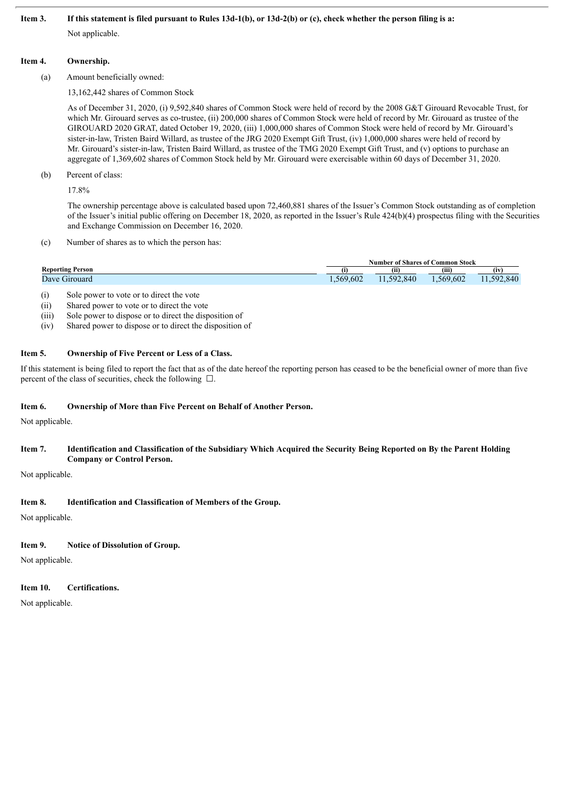#### Item 3. If this statement is filed pursuant to Rules 13d-1(b), or 13d-2(b) or (c), check whether the person filing is a:

Not applicable.

#### **Item 4. Ownership.**

(a) Amount beneficially owned:

13,162,442 shares of Common Stock

As of December 31, 2020, (i) 9,592,840 shares of Common Stock were held of record by the 2008 G&T Girouard Revocable Trust, for which Mr. Girouard serves as co-trustee, (ii) 200,000 shares of Common Stock were held of record by Mr. Girouard as trustee of the GIROUARD 2020 GRAT, dated October 19, 2020, (iii) 1,000,000 shares of Common Stock were held of record by Mr. Girouard's sister-in-law, Tristen Baird Willard, as trustee of the JRG 2020 Exempt Gift Trust, (iv) 1,000,000 shares were held of record by Mr. Girouard's sister-in-law, Tristen Baird Willard, as trustee of the TMG 2020 Exempt Gift Trust, and (v) options to purchase an aggregate of 1,369,602 shares of Common Stock held by Mr. Girouard were exercisable within 60 days of December 31, 2020.

#### (b) Percent of class:

17.8%

The ownership percentage above is calculated based upon 72,460,881 shares of the Issuer's Common Stock outstanding as of completion of the Issuer's initial public offering on December 18, 2020, as reported in the Issuer's Rule 424(b)(4) prospectus filing with the Securities and Exchange Commission on December 16, 2020.

(c) Number of shares as to which the person has:

|                     | Number of Shares of C<br>C <b>ommon Stock</b> |           |          |                        |
|---------------------|-----------------------------------------------|-----------|----------|------------------------|
| Reporting Person    |                                               | (ii)      | (iii)    | $\sim$<br>(iv          |
| $D$ ave<br>Girouard | 1,569,602                                     | 1.592.840 | .569,602 | $50^{\circ}$<br>92.840 |

(i) Sole power to vote or to direct the vote

(ii) Shared power to vote or to direct the vote

- (iii) Sole power to dispose or to direct the disposition of
- (iv) Shared power to dispose or to direct the disposition of

#### **Item 5. Ownership of Five Percent or Less of a Class.**

If this statement is being filed to report the fact that as of the date hereof the reporting person has ceased to be the beneficial owner of more than five percent of the class of securities, check the following  $\Box$ .

#### **Item 6. Ownership of More than Five Percent on Behalf of Another Person.**

Not applicable.

#### Item 7. Identification and Classification of the Subsidiary Which Acquired the Security Being Reported on By the Parent Holding **Company or Control Person.**

Not applicable.

#### **Item 8. Identification and Classification of Members of the Group.**

Not applicable.

#### **Item 9. Notice of Dissolution of Group.**

Not applicable.

#### **Item 10. Certifications.**

Not applicable.